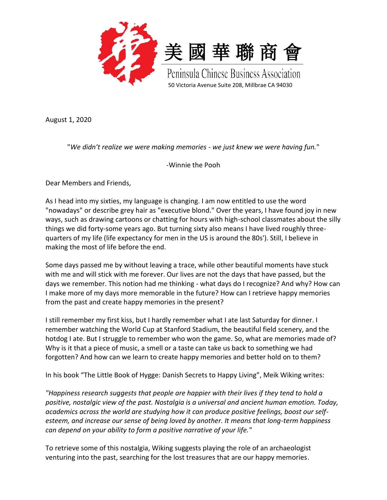

August 1, 2020

"*We didn't realize we were making memories - we just knew we were having fun.*"

-Winnie the Pooh

Dear Members and Friends,

As I head into my sixties, my language is changing. I am now entitled to use the word "nowadays" or describe grey hair as "executive blond." Over the years, I have found joy in new ways, such as drawing cartoons or chatting for hours with high-school classmates about the silly things we did forty-some years ago. But turning sixty also means I have lived roughly threequarters of my life (life expectancy for men in the US is around the 80s'). Still, I believe in making the most of life before the end.

Some days passed me by without leaving a trace, while other beautiful moments have stuck with me and will stick with me forever. Our lives are not the days that have passed, but the days we remember. This notion had me thinking - what days do I recognize? And why? How can I make more of my days more memorable in the future? How can I retrieve happy memories from the past and create happy memories in the present?

I still remember my first kiss, but I hardly remember what I ate last Saturday for dinner. I remember watching the World Cup at Stanford Stadium, the beautiful field scenery, and the hotdog I ate. But I struggle to remember who won the game. So, what are memories made of? Why is it that a piece of music, a smell or a taste can take us back to something we had forgotten? And how can we learn to create happy memories and better hold on to them?

In his book "The Little Book of Hygge: Danish Secrets to Happy Living", Meik Wiking writes:

*"Happiness research suggests that people are happier with their lives if they tend to hold a positive, nostalgic view of the past. Nostalgia is a universal and ancient human emotion. Today, academics across the world are studying how it can produce positive feelings, boost our selfesteem, and increase our sense of being loved by another. It means that long-term happiness can depend on your ability to form a positive narrative of your life."*

To retrieve some of this nostalgia, Wiking suggests playing the role of an archaeologist venturing into the past, searching for the lost treasures that are our happy memories.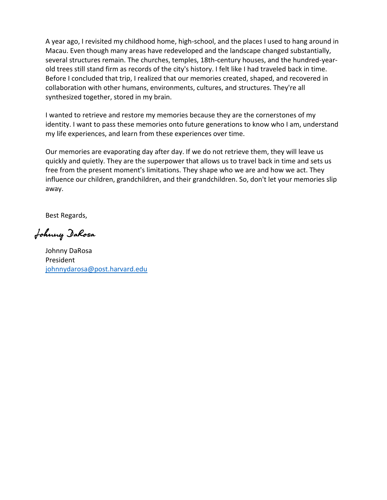A year ago, I revisited my childhood home, high-school, and the places I used to hang around in Macau. Even though many areas have redeveloped and the landscape changed substantially, several structures remain. The churches, temples, 18th-century houses, and the hundred-yearold trees still stand firm as records of the city's history. I felt like I had traveled back in time. Before I concluded that trip, I realized that our memories created, shaped, and recovered in collaboration with other humans, environments, cultures, and structures. They're all synthesized together, stored in my brain.

I wanted to retrieve and restore my memories because they are the cornerstones of my identity. I want to pass these memories onto future generations to know who I am, understand my life experiences, and learn from these experiences over time.

Our memories are evaporating day after day. If we do not retrieve them, they will leave us quickly and quietly. They are the superpower that allows us to travel back in time and sets us free from the present moment's limitations. They shape who we are and how we act. They influence our children, grandchildren, and their grandchildren. So, don't let your memories slip away.

Best Regards,

Johnny DaRosa

Johnny DaRosa President [johnnydarosa@post.harvard.edu](mailto:johnnydarosa@post.harvard.edu)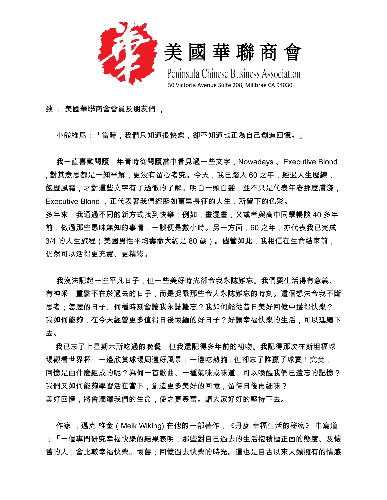

致 : 美國華聯商會會員及朋友們 ,

小熊維尼:「當時,我們只知道很快樂,卻不知道也正為自己創造回憶。」

 我一直喜歡閱讀,年青時從閱讀當中看見過一些文字,Nowadays 、Executive Blond , 對其意思都是一知半解,更没有留心考究。今天,我已踏入 60 之年,經過人生歷練, 飽歷風霜,才對這些文字有了透徹的了解。明白一頭白髮,並不只是代表年老那麼膚淺, Executive Blond ,正代表著我們經歷如萬里長征的人生,所留下的色彩。 多年來,我通過不同的新方式找到快樂;例如,畫漫畫,又或者與高中同學暢談 40 多年 前,做過那些愚昧無知的事情,一談便是數小時。另一方面,60 之年,亦代表我已完成 3/4 的人生旅程(美國男性平均壽命大約是 80 歲)。儘管如此,我相信在生命結束前, 仍然可以活得更充實、更精彩。

我沒法記起一些平凡日子,但一些美好時光卻令我永誌難忘。我們要生活得有意義、 有神釆,重點不在於過去的日子,而是捉緊那些令人永誌難忘的時刻。這個想法令我不斷 思考:怎麼的日子、何種時刻會讓我永誌難忘?我如何能從昔日美好回億中獲得快樂? 我如何能夠,在今天經營更多值得日後懷緬的好日子?好讓幸福快樂的生活,可以延續下 去。

 我已忘了上星期六所吃過的晚餐,但我還記得多年前的初吻。我記得那次在斯坦福球 埸觀看世界杯,一邊欣賞球埸周邊好風景,一邊吃熱狗...但卻忘了誰贏了球賽!究竟, 回憶是由什麼組成的呢?為何一首歌曲、一種氣味或味道,可以喚醒我們已遺忘的記憶? 我們又如何能夠學習活在當下,創造更多美好的回憶,留待日後再細味? 美好回憶,將會潤澤我們的生命,使之更豐富。請大家好好的堅持下去。

作家 ,邁克.維金(Meik Wiking) 在他的一部著作,《丹麥.幸福生活的秘密》 中寫道 :「一個專門研究幸福快樂的結果表明,那些對自己過去的生活抱積極正面的態度、及懷 舊的人,會比較幸福快樂。懷舊;回憶過去快樂的時光。這也是自古以來人類擁有的情感